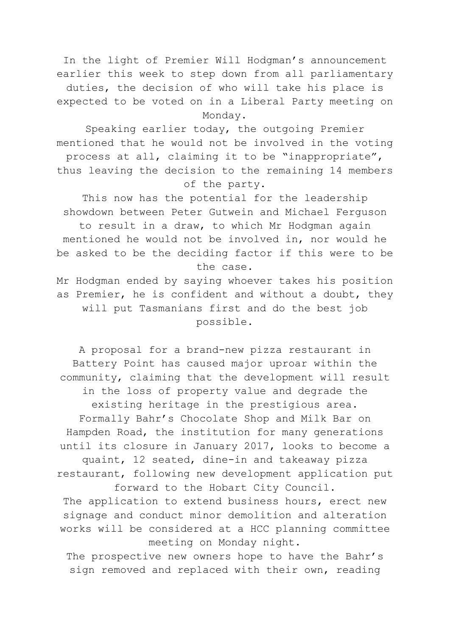In the light of Premier Will Hodgman's announcement earlier this week to step down from all parliamentary duties, the decision of who will take his place is expected to be voted on in a Liberal Party meeting on Monday.

Speaking earlier today, the outgoing Premier mentioned that he would not be involved in the voting process at all, claiming it to be "inappropriate", thus leaving the decision to the remaining 14 members of the party.

This now has the potential for the leadership showdown between Peter Gutwein and Michael Ferguson to result in a draw, to which Mr Hodgman again mentioned he would not be involved in, nor would he be asked to be the deciding factor if this were to be the case.

Mr Hodgman ended by saying whoever takes his position as Premier, he is confident and without a doubt, they will put Tasmanians first and do the best job possible.

A proposal for a brand-new pizza restaurant in Battery Point has caused major uproar within the community, claiming that the development will result in the loss of property value and degrade the existing heritage in the prestigious area. Formally Bahr's Chocolate Shop and Milk Bar on Hampden Road, the institution for many generations until its closure in January 2017, looks to become a quaint, 12 seated, dine-in and takeaway pizza restaurant, following new development application put forward to the Hobart City Council.

The application to extend business hours, erect new signage and conduct minor demolition and alteration works will be considered at a HCC planning committee meeting on Monday night.

The prospective new owners hope to have the Bahr's sign removed and replaced with their own, reading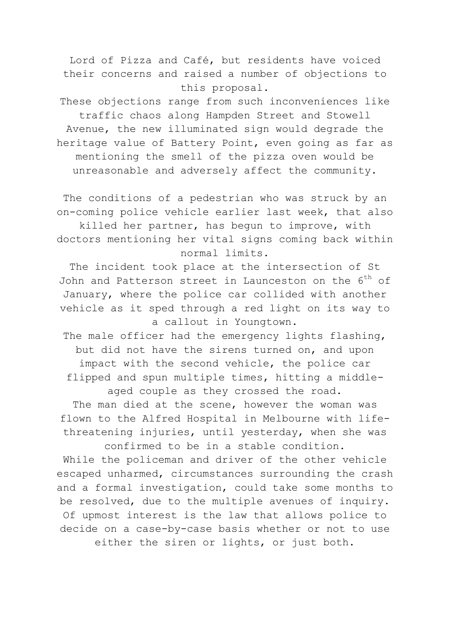Lord of Pizza and Café, but residents have voiced their concerns and raised a number of objections to this proposal.

These objections range from such inconveniences like traffic chaos along Hampden Street and Stowell Avenue, the new illuminated sign would degrade the heritage value of Battery Point, even going as far as mentioning the smell of the pizza oven would be unreasonable and adversely affect the community.

The conditions of a pedestrian who was struck by an on-coming police vehicle earlier last week, that also killed her partner, has begun to improve, with doctors mentioning her vital signs coming back within normal limits.

The incident took place at the intersection of St John and Patterson street in Launceston on the 6<sup>th</sup> of January, where the police car collided with another vehicle as it sped through a red light on its way to a callout in Youngtown.

The male officer had the emergency lights flashing, but did not have the sirens turned on, and upon impact with the second vehicle, the police car flipped and spun multiple times, hitting a middleaged couple as they crossed the road.

The man died at the scene, however the woman was flown to the Alfred Hospital in Melbourne with lifethreatening injuries, until yesterday, when she was confirmed to be in a stable condition.

While the policeman and driver of the other vehicle escaped unharmed, circumstances surrounding the crash and a formal investigation, could take some months to be resolved, due to the multiple avenues of inquiry. Of upmost interest is the law that allows police to decide on a case-by-case basis whether or not to use either the siren or lights, or just both.